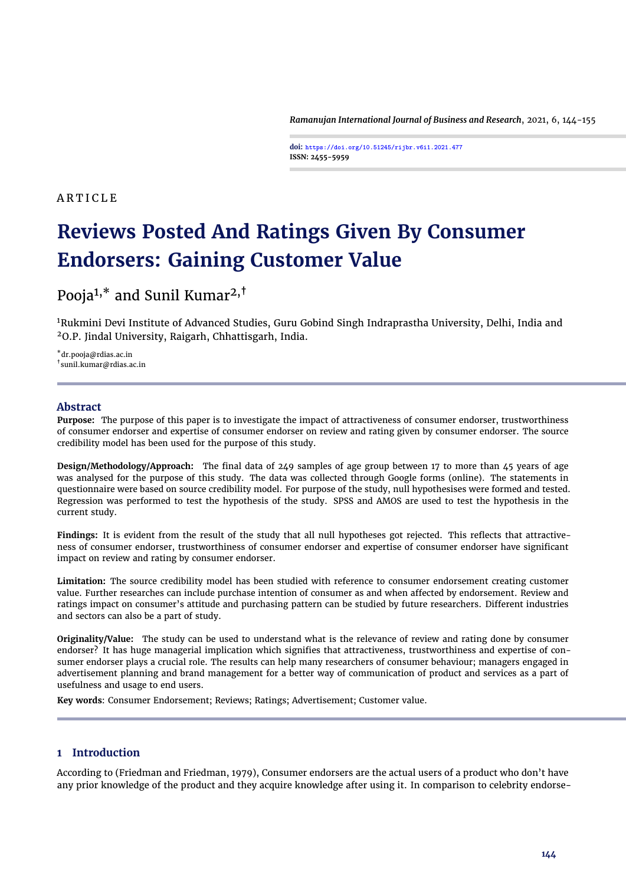*Ramanujan International Journal of Business and Research*, 2021, 6, 144[-155](#page-11-0)

**doi: https://doi.org/10.51245/rijbr.v6i1.2021.477 ISSN: 2455-5959**

# A R T I C L E

# **Reviews Posted And Ratings Given By Consumer Endorsers: Gaining Customer Value**

# Pooja<sup>1,\*</sup> and Sunil Kumar<sup>2,†</sup>

<sup>1</sup>Rukmini Devi Institute of Advanced Studies, Guru Gobind Singh Indraprastha University, Delhi, India and <sup>2</sup>O.P. Jindal University, Raigarh, Chhattisgarh, India.

\*dr.pooja@rdias.ac.in † sunil.kumar@rdias.ac.in

# **Abstract**

**Purpose:** The purpose of this paper is to investigate the impact of attractiveness of consumer endorser, trustworthiness of consumer endorser and expertise of consumer endorser on review and rating given by consumer endorser. The source credibility model has been used for the purpose of this study.

**Design/Methodology/Approach:** The final data of 249 samples of age group between 17 to more than 45 years of age was analysed for the purpose of this study. The data was collected through Google forms (online). The statements in questionnaire were based on source credibility model. For purpose of the study, null hypothesises were formed and tested. Regression was performed to test the hypothesis of the study. SPSS and AMOS are used to test the hypothesis in the current study.

**Findings:** It is evident from the result of the study that all null hypotheses got rejected. This reflects that attractiveness of consumer endorser, trustworthiness of consumer endorser and expertise of consumer endorser have significant impact on review and rating by consumer endorser.

**Limitation:** The source credibility model has been studied with reference to consumer endorsement creating customer value. Further researches can include purchase intention of consumer as and when affected by endorsement. Review and ratings impact on consumer's attitude and purchasing pattern can be studied by future researchers. Different industries and sectors can also be a part of study.

**Originality/Value:** The study can be used to understand what is the relevance of review and rating done by consumer endorser? It has huge managerial implication which signifies that attractiveness, trustworthiness and expertise of consumer endorser plays a crucial role. The results can help many researchers of consumer behaviour; managers engaged in advertisement planning and brand management for a better way of communication of product and services as a part of usefulness and usage to end users.

**Key words**: Consumer Endorsement; Reviews; Ratings; Advertisement; Customer value.

# **1 Introduction**

According to [\(Friedman and Friedman,](#page-9-0) [1979\)](#page-9-0), Consumer endorsers are the actual users of a product who don't have any prior knowledge of the product and they acquire knowledge after using it. In comparison to celebrity endorse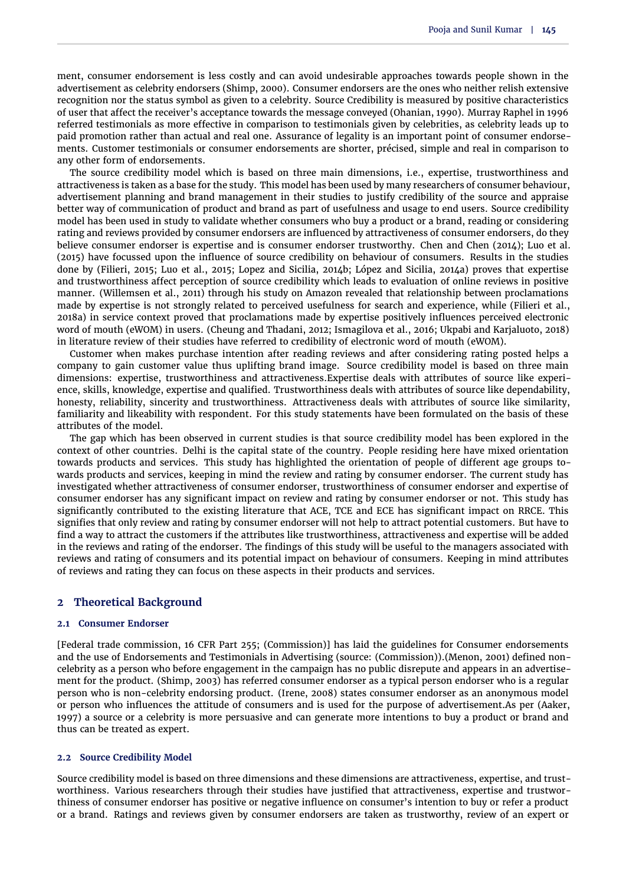ment, consumer endorsement is less costly and can avoid undesirable approaches towards people shown in the advertisement as celebrity endorsers [\(Shimp,](#page-10-0) [2000\)](#page-10-0). Consumer endorsers are the ones who neither relish extensive recognition nor the status symbol as given to a celebrity. Source Credibility is measured by positive characteristics of user that affect the receiver's acceptance towards the message conveyed [\(Ohanian,](#page-10-1) [1990\)](#page-10-1). Murray Raphel in 1996 referred testimonials as more effective in comparison to testimonials given by celebrities, as celebrity leads up to paid promotion rather than actual and real one. Assurance of legality is an important point of consumer endorsements. Customer testimonials or consumer endorsements are shorter, précised, simple and real in comparison to any other form of endorsements.

The source credibility model which is based on three main dimensions, i.e., expertise, trustworthiness and attractiveness is taken as a base for the study. This model has been used by many researchers of consumer behaviour, advertisement planning and brand management in their studies to justify credibility of the source and appraise better way of communication of product and brand as part of usefulness and usage to end users. Source credibility model has been used in study to validate whether consumers who buy a product or a brand, reading or considering rating and reviews provided by consumer endorsers are influenced by attractiveness of consumer endorsers, do they believe consumer endorser is expertise and is consumer endorser trustworthy. [Chen and Chen](#page-9-1) [\(2014\)](#page-9-1); [Luo et al.](#page-10-2) [\(2015\)](#page-10-2) have focussed upon the influence of source credibility on behaviour of consumers. Results in the studies done by [\(Filieri,](#page-9-2) [2015;](#page-9-2) [Luo et al.,](#page-10-2) [2015;](#page-10-2) [Lopez and Sicilia,](#page-10-3) [2014b;](#page-10-3) [López and Sicilia,](#page-10-4) [2014a\)](#page-10-4) proves that expertise and trustworthiness affect perception of source credibility which leads to evaluation of online reviews in positive manner. [\(Willemsen et al.,](#page-11-1) [2011\)](#page-11-1) through his study on Amazon revealed that relationship between proclamations made by expertise is not strongly related to perceived usefulness for search and experience, while [\(Filieri et al.,](#page-9-3) [2018a\)](#page-9-3) in service context proved that proclamations made by expertise positively influences perceived electronic word of mouth (eWOM) in users. [\(Cheung and Thadani,](#page-9-4) [2012;](#page-9-4) [Ismagilova et al.,](#page-10-5) [2016;](#page-10-5) [Ukpabi and Karjaluoto,](#page-10-6) [2018\)](#page-10-6) in literature review of their studies have referred to credibility of electronic word of mouth (eWOM).

Customer when makes purchase intention after reading reviews and after considering rating posted helps a company to gain customer value thus uplifting brand image. Source credibility model is based on three main dimensions: expertise, trustworthiness and attractiveness.Expertise deals with attributes of source like experience, skills, knowledge, expertise and qualified. Trustworthiness deals with attributes of source like dependability, honesty, reliability, sincerity and trustworthiness. Attractiveness deals with attributes of source like similarity, familiarity and likeability with respondent. For this study statements have been formulated on the basis of these attributes of the model.

The gap which has been observed in current studies is that source credibility model has been explored in the context of other countries. Delhi is the capital state of the country. People residing here have mixed orientation towards products and services. This study has highlighted the orientation of people of different age groups towards products and services, keeping in mind the review and rating by consumer endorser. The current study has investigated whether attractiveness of consumer endorser, trustworthiness of consumer endorser and expertise of consumer endorser has any significant impact on review and rating by consumer endorser or not. This study has significantly contributed to the existing literature that ACE, TCE and ECE has significant impact on RRCE. This signifies that only review and rating by consumer endorser will not help to attract potential customers. But have to find a way to attract the customers if the attributes like trustworthiness, attractiveness and expertise will be added in the reviews and rating of the endorser. The findings of this study will be useful to the managers associated with reviews and rating of consumers and its potential impact on behaviour of consumers. Keeping in mind attributes of reviews and rating they can focus on these aspects in their products and services.

#### **2 Theoretical Background**

#### **2.1 Consumer Endorser**

[Federal trade commission, 16 CFR Part 255; [\(Commission\)](#page-9-5)] has laid the guidelines for Consumer endorsements and the use of Endorsements and Testimonials in Advertising (source: [\(Commission\)](#page-9-5)).[\(Menon,](#page-10-7) [2001\)](#page-10-7) defined noncelebrity as a person who before engagement in the campaign has no public disrepute and appears in an advertisement for the product. [\(Shimp,](#page-10-8) [2003\)](#page-10-8) has referred consumer endorser as a typical person endorser who is a regular person who is non-celebrity endorsing product. [\(Irene,](#page-10-9) [2008\)](#page-10-9) states consumer endorser as an anonymous model or person who influences the attitude of consumers and is used for the purpose of advertisement.As per [\(Aaker,](#page-9-6) [1997\)](#page-9-6) a source or a celebrity is more persuasive and can generate more intentions to buy a product or brand and thus can be treated as expert.

#### **2.2 Source Credibility Model**

Source credibility model is based on three dimensions and these dimensions are attractiveness, expertise, and trustworthiness. Various researchers through their studies have justified that attractiveness, expertise and trustworthiness of consumer endorser has positive or negative influence on consumer's intention to buy or refer a product or a brand. Ratings and reviews given by consumer endorsers are taken as trustworthy, review of an expert or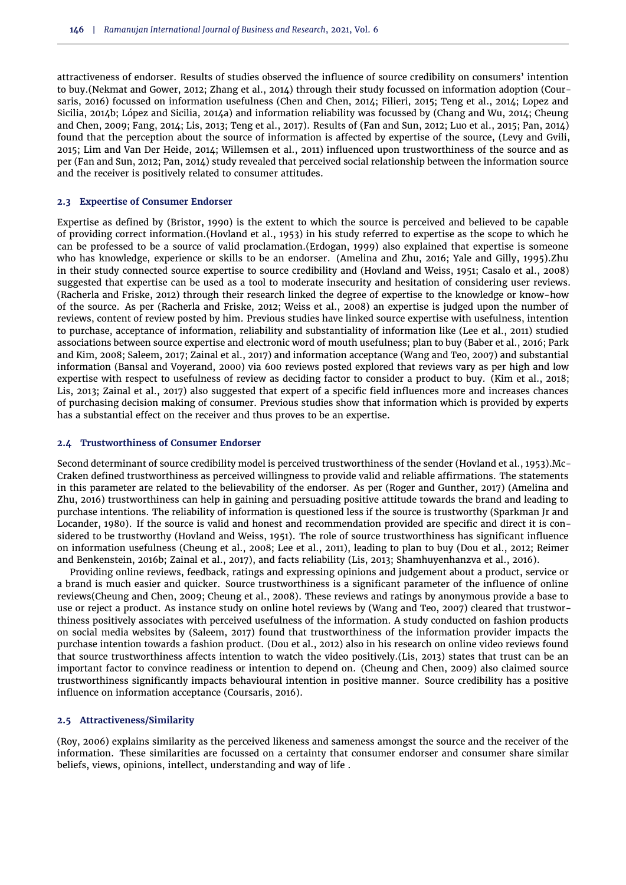attractiveness of endorser. Results of studies observed the influence of source credibility on consumers' intention to buy.[\(Nekmat and Gower,](#page-10-10) [2012;](#page-10-10) [Zhang et al.,](#page-11-2) [2014\)](#page-11-2) through their study focussed on information adoption [\(Cour](#page-9-7)[saris,](#page-9-7) [2016\)](#page-9-7) focussed on information usefulness [\(Chen and Chen,](#page-9-1) [2014;](#page-9-1) [Filieri,](#page-9-2) [2015;](#page-9-2) [Teng et al.,](#page-10-11) [2014;](#page-10-11) [Lopez and](#page-10-3) [Sicilia,](#page-10-3) [2014b;](#page-10-3) [López and Sicilia,](#page-10-4) [2014a\)](#page-10-4) and information reliability was focussed by [\(Chang and Wu,](#page-9-8) [2014;](#page-9-8) [Cheung](#page-9-9) [and Chen,](#page-9-9) [2009;](#page-9-9) [Fang,](#page-9-10) [2014;](#page-9-10) [Lis,](#page-10-12) [2013;](#page-10-12) [Teng et al.,](#page-10-13) [2017\)](#page-10-13). Results of [\(Fan and Sun,](#page-9-11) [2012;](#page-9-11) [Luo et al.,](#page-10-2) [2015;](#page-10-2) [Pan,](#page-10-14) [2014\)](#page-10-14) found that the perception about the source of information is affected by expertise of the source, [\(Levy and Gvili,](#page-10-15) [2015;](#page-10-15) [Lim and Van Der Heide,](#page-10-16) [2014;](#page-10-16) [Willemsen et al.,](#page-11-1) [2011\)](#page-11-1) influenced upon trustworthiness of the source and as per [\(Fan and Sun,](#page-9-11) [2012;](#page-9-11) [Pan,](#page-10-14) [2014\)](#page-10-14) study revealed that perceived social relationship between the information source and the receiver is positively related to consumer attitudes.

#### **2.3 Expeertise of Consumer Endorser**

Expertise as defined by [\(Bristor,](#page-9-12) [1990\)](#page-9-12) is the extent to which the source is perceived and believed to be capable of providing correct information.[\(Hovland et al.,](#page-10-17) [1953\)](#page-10-17) in his study referred to expertise as the scope to which he can be professed to be a source of valid proclamation.[\(Erdogan,](#page-9-13) [1999\)](#page-9-13) also explained that expertise is someone who has knowledge, experience or skills to be an endorser. [\(Amelina and Zhu,](#page-9-14) [2016;](#page-9-14) [Yale and Gilly,](#page-11-3) [1995\)](#page-11-3).Zhu in their study connected source expertise to source credibility and [\(Hovland and Weiss,](#page-10-18) [1951;](#page-10-18) [Casalo et al.,](#page-9-15) [2008\)](#page-9-15) suggested that expertise can be used as a tool to moderate insecurity and hesitation of considering user reviews. [\(Racherla and Friske,](#page-10-19) [2012\)](#page-10-19) through their research linked the degree of expertise to the knowledge or know-how of the source. As per [\(Racherla and Friske,](#page-10-19) [2012;](#page-10-19) [Weiss et al.,](#page-11-4) [2008\)](#page-11-4) an expertise is judged upon the number of reviews, content of review posted by him. Previous studies have linked source expertise with usefulness, intention to purchase, acceptance of information, reliability and substantiality of information like [\(Lee et al.,](#page-10-20) [2011\)](#page-10-20) studied associations between source expertise and electronic word of mouth usefulness; plan to buy [\(Baber et al.,](#page-9-16) [2016;](#page-9-16) [Park](#page-10-21) [and Kim,](#page-10-21) [2008;](#page-10-21) [Saleem,](#page-10-22) [2017;](#page-10-22) [Zainal et al.,](#page-11-5) [2017\)](#page-11-5) and information acceptance [\(Wang and Teo,](#page-10-23) [2007\)](#page-10-23) and substantial information [\(Bansal and Voyerand,](#page-9-17) [2000\)](#page-9-17) via 600 reviews posted explored that reviews vary as per high and low expertise with respect to usefulness of review as deciding factor to consider a product to buy. [\(Kim et al.,](#page-10-24) [2018;](#page-10-24) [Lis,](#page-10-12) [2013;](#page-10-12) [Zainal et al.,](#page-11-5) [2017\)](#page-11-5) also suggested that expert of a specific field influences more and increases chances of purchasing decision making of consumer. Previous studies show that information which is provided by experts has a substantial effect on the receiver and thus proves to be an expertise.

#### **2.4 Trustworthiness of Consumer Endorser**

Second determinant of source credibility model is perceived trustworthiness of the sender [\(Hovland et al.,](#page-10-17) [1953\)](#page-10-17).Mc-Craken defined trustworthiness as perceived willingness to provide valid and reliable affirmations. The statements in this parameter are related to the believability of the endorser. As per [\(Roger and Gunther,](#page-10-25) [2017\)](#page-10-25) [\(Amelina and](#page-9-14) [Zhu,](#page-9-14) [2016\)](#page-9-14) trustworthiness can help in gaining and persuading positive attitude towards the brand and leading to purchase intentions. The reliability of information is questioned less if the source is trustworthy [\(Sparkman Jr and](#page-10-26) [Locander,](#page-10-26) [1980\)](#page-10-26). If the source is valid and honest and recommendation provided are specific and direct it is considered to be trustworthy [\(Hovland and Weiss,](#page-10-18) [1951\)](#page-10-18). The role of source trustworthiness has significant influence on information usefulness [\(Cheung et al.,](#page-9-18) [2008;](#page-9-18) [Lee et al.,](#page-10-20) [2011\)](#page-10-20), leading to plan to buy [\(Dou et al.,](#page-9-19) [2012;](#page-9-19) [Reimer](#page-10-27) [and Benkenstein,](#page-10-27) [2016b;](#page-10-27) [Zainal et al.,](#page-11-5) [2017\)](#page-11-5), and facts reliability [\(Lis,](#page-10-12) [2013;](#page-10-12) [Shamhuyenhanzva et al.,](#page-10-28) [2016\)](#page-10-28).

Providing online reviews, feedback, ratings and expressing opinions and judgement about a product, service or a brand is much easier and quicker. Source trustworthiness is a significant parameter of the influence of online reviews[\(Cheung and Chen,](#page-9-9) [2009;](#page-9-9) [Cheung et al.,](#page-9-18) [2008\)](#page-9-18). These reviews and ratings by anonymous provide a base to use or reject a product. As instance study on online hotel reviews by [\(Wang and Teo,](#page-10-23) [2007\)](#page-10-23) cleared that trustworthiness positively associates with perceived usefulness of the information. A study conducted on fashion products on social media websites by [\(Saleem,](#page-10-22) [2017\)](#page-10-22) found that trustworthiness of the information provider impacts the purchase intention towards a fashion product. [\(Dou et al.,](#page-9-19) [2012\)](#page-9-19) also in his research on online video reviews found that source trustworthiness affects intention to watch the video positively.[\(Lis,](#page-10-12) [2013\)](#page-10-12) states that trust can be an important factor to convince readiness or intention to depend on. [\(Cheung and Chen,](#page-9-9) [2009\)](#page-9-9) also claimed source trustworthiness significantly impacts behavioural intention in positive manner. Source credibility has a positive influence on information acceptance [\(Coursaris,](#page-9-7) [2016\)](#page-9-7).

#### **2.5 Attractiveness/Similarity**

[\(Roy,](#page-10-29) [2006\)](#page-10-29) explains similarity as the perceived likeness and sameness amongst the source and the receiver of the information. These similarities are focussed on a certainty that consumer endorser and consumer share similar beliefs, views, opinions, intellect, understanding and way of life .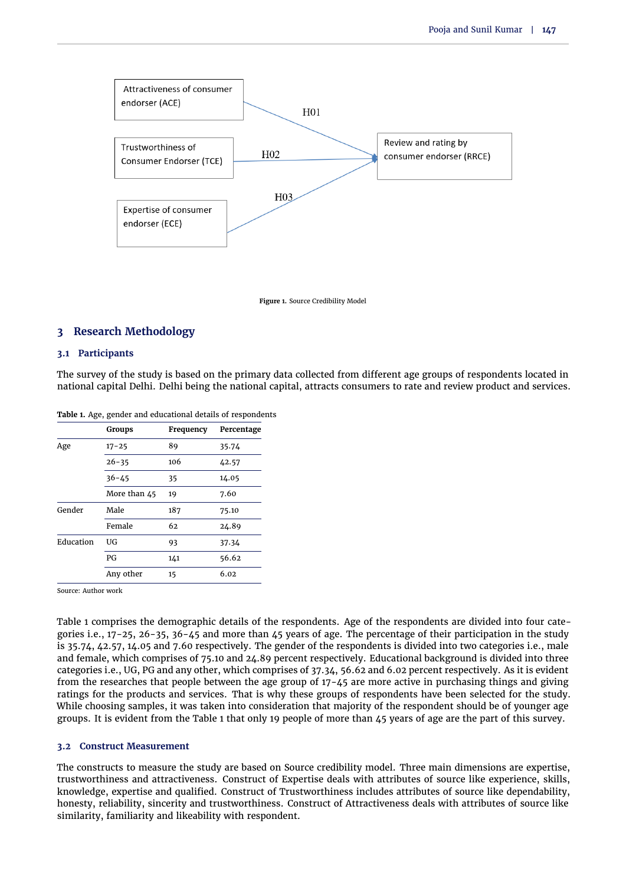

**Figure 1.** Source Credibility Model

# **3 Research Methodology**

#### **3.1 Participants**

The survey of the study is based on the primary data collected from different age groups of respondents located in national capital Delhi. Delhi being the national capital, attracts consumers to rate and review product and services.

|           | <b>Groups</b> | Frequency | Percentage |  |
|-----------|---------------|-----------|------------|--|
| Age       | $17 - 25$     | 89        | 35.74      |  |
|           | $26 - 35$     | 106       | 42.57      |  |
|           | $36 - 45$     | 35        | 14.05      |  |
|           | More than 45  | 19        | 7.60       |  |
| Gender    | Male          | 187       | 75.10      |  |
|           | Female        | 62        | 24.89      |  |
| Education | UG            | 93        | 37.34      |  |
|           | PG            | 141       | 56.62      |  |
|           | Any other     | 15        | 6.02       |  |
|           |               |           |            |  |

<span id="page-3-0"></span>**Table 1.** Age, gender and educational details of respondents

Source: Author work

[Table 1](#page-3-0) comprises the demographic details of the respondents. Age of the respondents are divided into four categories i.e., 17-25, 26-35, 36-45 and more than 45 years of age. The percentage of their participation in the study is 35.74, 42.57, 14.05 and 7.60 respectively. The gender of the respondents is divided into two categories i.e., male and female, which comprises of 75.10 and 24.89 percent respectively. Educational background is divided into three categories i.e., UG, PG and any other, which comprises of 37.34, 56.62 and 6.02 percent respectively. As it is evident from the researches that people between the age group of 17-45 are more active in purchasing things and giving ratings for the products and services. That is why these groups of respondents have been selected for the study. While choosing samples, it was taken into consideration that majority of the respondent should be of younger age groups. It is evident from the [Table 1](#page-3-0) that only 19 people of more than 45 years of age are the part of this survey.

#### **3.2 Construct Measurement**

The constructs to measure the study are based on Source credibility model. Three main dimensions are expertise, trustworthiness and attractiveness. Construct of Expertise deals with attributes of source like experience, skills, knowledge, expertise and qualified. Construct of Trustworthiness includes attributes of source like dependability, honesty, reliability, sincerity and trustworthiness. Construct of Attractiveness deals with attributes of source like similarity, familiarity and likeability with respondent.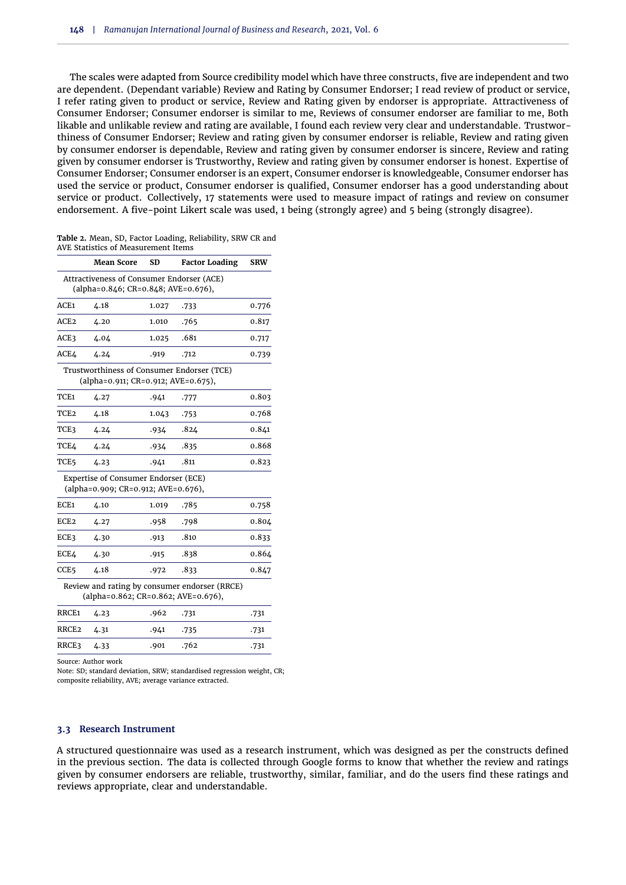The scales were adapted from Source credibility model which have three constructs, five are independent and two are dependent. (Dependant variable) Review and Rating by Consumer Endorser; I read review of product or service, I refer rating given to product or service, Review and Rating given by endorser is appropriate. Attractiveness of Consumer Endorser; Consumer endorser is similar to me, Reviews of consumer endorser are familiar to me, Both likable and unlikable review and rating are available, I found each review very clear and understandable. Trustworthiness of Consumer Endorser; Review and rating given by consumer endorser is reliable, Review and rating given by consumer endorser is dependable, Review and rating given by consumer endorser is sincere, Review and rating given by consumer endorser is Trustworthy, Review and rating given by consumer endorser is honest. Expertise of Consumer Endorser; Consumer endorser is an expert, Consumer endorser is knowledgeable, Consumer endorser has used the service or product, Consumer endorser is qualified, Consumer endorser has a good understanding about service or product. Collectively, 17 statements were used to measure impact of ratings and review on consumer endorsement. A five-point Likert scale was used, 1 being (strongly agree) and 5 being (strongly disagree).

| Table 2. Mean, SD, Factor Loading, Reliability, SRW CR and |  |
|------------------------------------------------------------|--|
| AVE Statistics of Measurement Items                        |  |

|                   | <b>Mean Score</b>                                                           | SD    | <b>Factor Loading</b>                         | <b>SRW</b> |
|-------------------|-----------------------------------------------------------------------------|-------|-----------------------------------------------|------------|
|                   | Attractiveness of Consumer Endorser (ACE)                                   |       |                                               |            |
|                   | (alpha=0.846; CR=0.848; AVE=0.676),                                         |       |                                               |            |
| ACE1              | 4.18                                                                        | 1.027 | .733                                          | 0.776      |
| ACE2              | 4.20                                                                        | 1.010 | .765                                          | 0.817      |
| ACE3              | 4.04                                                                        | 1.025 | .681                                          | 0.717      |
| ACE4              | 4.24                                                                        | .919  | .712                                          | 0.739      |
|                   | (alpha=0.911; CR=0.912; AVE=0.675),                                         |       | Trustworthiness of Consumer Endorser (TCE)    |            |
| TCE <sub>1</sub>  | 4.27                                                                        | .941  | .777                                          | 0.803      |
| TCE2              | 4.18                                                                        | 1.043 | .753                                          | 0.768      |
| TCE3              | 4.24                                                                        | .934  | .824                                          | 0.841      |
| TCE4              | 4.24                                                                        | .934  | .835                                          | 0.868      |
| TCE5              | 4.23                                                                        | .941  | .811                                          | 0.823      |
|                   | Expertise of Consumer Endorser (ECE)<br>(alpha=0.909; CR=0.912; AVE=0.676), |       |                                               |            |
| ECE1              | 4.10                                                                        | 1.019 | .785                                          | 0.758      |
| ECE2              | 4.27                                                                        | .958  | .798                                          | 0.804      |
| ECE3              | 4.30                                                                        | .913  | .810                                          | 0.833      |
| <b>ECE4</b>       | 4.30                                                                        | .915  | .838                                          | 0.864      |
| CCE5              | 4.18                                                                        | .972  | .833                                          | 0.847      |
|                   | (alpha=0.862; CR=0.862; AVE=0.676),                                         |       | Review and rating by consumer endorser (RRCE) |            |
| RRCE1             | 4.23                                                                        | .962  | .731                                          | .731       |
| RRCE <sub>2</sub> | 4.31                                                                        | .941  | .735                                          | .731       |
| RRCE3             | 4.33                                                                        | .901  | .762                                          | .731       |
|                   |                                                                             |       |                                               |            |

Source: Author work

Note: SD; standard deviation, SRW; standardised regression weight, CR; composite reliability, AVE; average variance extracted.

#### **3.3 Research Instrument**

A structured questionnaire was used as a research instrument, which was designed as per the constructs defined in the previous section. The data is collected through Google forms to know that whether the review and ratings given by consumer endorsers are reliable, trustworthy, similar, familiar, and do the users find these ratings and reviews appropriate, clear and understandable.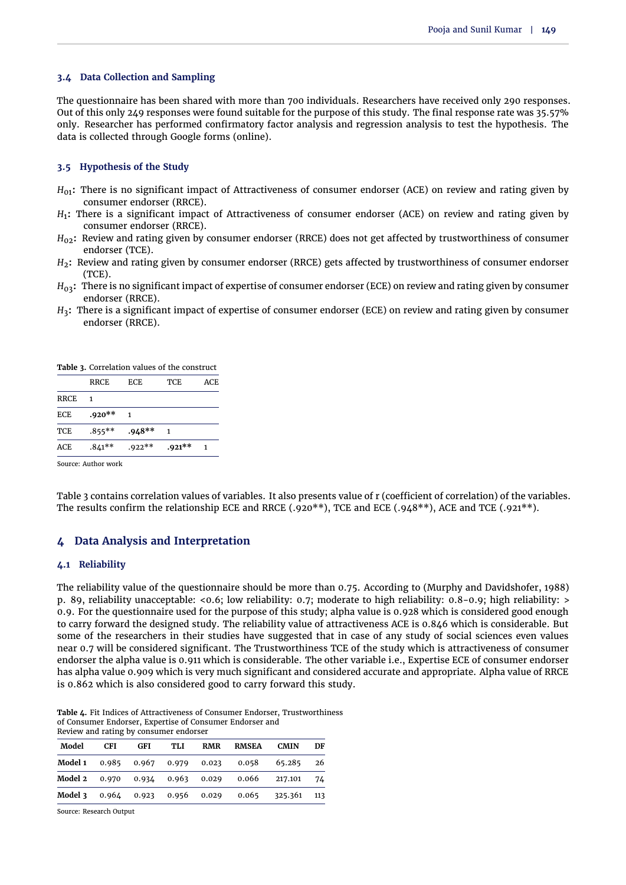#### **3.4 Data Collection and Sampling**

The questionnaire has been shared with more than 700 individuals. Researchers have received only 290 responses. Out of this only 249 responses were found suitable for the purpose of this study. The final response rate was 35.57% only. Researcher has performed confirmatory factor analysis and regression analysis to test the hypothesis. The data is collected through Google forms (online).

#### **3.5 Hypothesis of the Study**

- *H*<sub>01</sub>: There is no significant impact of Attractiveness of consumer endorser (ACE) on review and rating given by consumer endorser (RRCE).
- *H*1 **:** There is a significant impact of Attractiveness of consumer endorser (ACE) on review and rating given by consumer endorser (RRCE).
- *H*<sub>02</sub>: Review and rating given by consumer endorser (RRCE) does not get affected by trustworthiness of consumer endorser (TCE).
- *H*<sub>2</sub>: Review and rating given by consumer endorser (RRCE) gets affected by trustworthiness of consumer endorser (TCE).
- $H_{03}$ : There is no significant impact of expertise of consumer endorser (ECE) on review and rating given by consumer endorser (RRCE).
- *H*3**:** There is a significant impact of expertise of consumer endorser (ECE) on review and rating given by consumer endorser (RRCE).

<span id="page-5-0"></span>**Table 3.** Correlation values of the construct

|             | <b>RRCE</b> | <b>ECE</b> | TCE      | ACE |
|-------------|-------------|------------|----------|-----|
| <b>RRCE</b> | 1           |            |          |     |
| ECE         | $.920**$    |            |          |     |
| TCE         | $.855***$   | $.948**$   | 1        |     |
| ACE         | $.841**$    | $.922**$   | $.921**$ |     |
|             |             |            |          |     |

Source: Author work

[Table 3](#page-5-0) contains correlation values of variables. It also presents value of r (coefficient of correlation) of the variables. The results confirm the relationship ECE and RRCE (.920\*\*), TCE and ECE (.948\*\*), ACE and TCE (.921\*\*).

# **4 Data Analysis and Interpretation**

#### **4.1 Reliability**

The reliability value of the questionnaire should be more than 0.75. According to [\(Murphy and Davidshofer,](#page-10-30) [1988\)](#page-10-30) p. 89, reliability unacceptable: <0.6; low reliability: 0.7; moderate to high reliability: 0.8-0.9; high reliability: > 0.9. For the questionnaire used for the purpose of this study; alpha value is 0.928 which is considered good enough to carry forward the designed study. The reliability value of attractiveness ACE is 0.846 which is considerable. But some of the researchers in their studies have suggested that in case of any study of social sciences even values near 0.7 will be considered significant. The Trustworthiness TCE of the study which is attractiveness of consumer endorser the alpha value is 0.911 which is considerable. The other variable i.e., Expertise ECE of consumer endorser has alpha value 0.909 which is very much significant and considered accurate and appropriate. Alpha value of RRCE is 0.862 which is also considered good to carry forward this study.

**Table 4.** Fit Indices of Attractiveness of Consumer Endorser, Trustworthiness of Consumer Endorser, Expertise of Consumer Endorser and Review and rating by consumer endorser

| Model | CFI. | GFI | TLI | RMR | RMSEA                                         | <b>CMIN</b> | DF  |
|-------|------|-----|-----|-----|-----------------------------------------------|-------------|-----|
|       |      |     |     |     | Model 1 0.985 0.967 0.979 0.023 0.058         | 65.285      | 26  |
|       |      |     |     |     | Model 2 0.970 0.934 0.963 0.029 0.066 217.101 |             | 74  |
|       |      |     |     |     | Model 3 0.964 0.923 0.956 0.029 0.065 325.361 |             | 113 |

Source: Research Output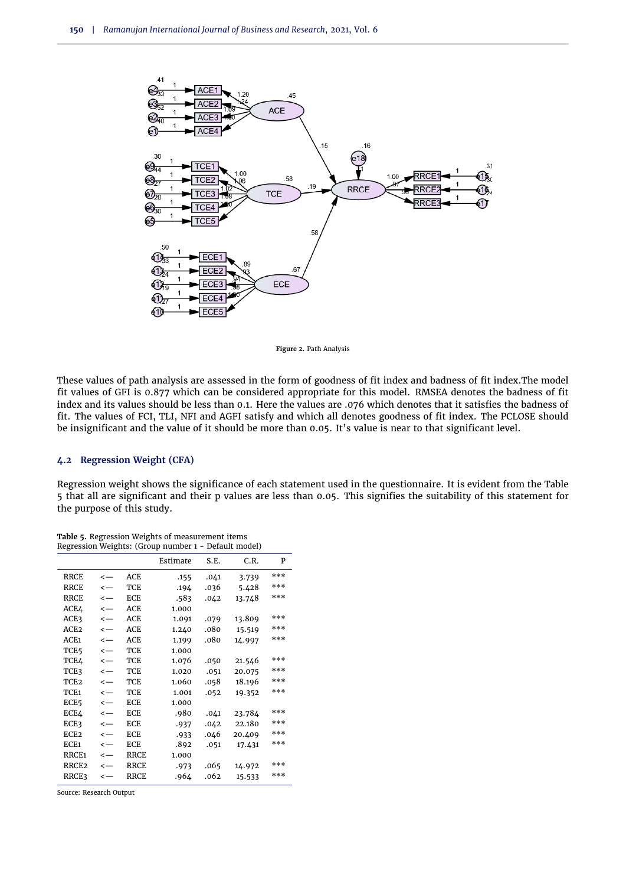

**Figure 2.** Path Analysis

These values of path analysis are assessed in the form of goodness of fit index and badness of fit index.The model fit values of GFI is 0.877 which can be considered appropriate for this model. RMSEA denotes the badness of fit index and its values should be less than 0.1. Here the values are .076 which denotes that it satisfies the badness of fit. The values of FCI, TLI, NFI and AGFI satisfy and which all denotes goodness of fit index. The PCLOSE should be insignificant and the value of it should be more than 0.05. It's value is near to that significant level.

#### **4.2 Regression Weight (CFA)**

Regression weight shows the significance of each statement used in the questionnaire. It is evident from the [Table](#page-6-0) [5](#page-6-0) that all are significant and their p values are less than 0.05. This signifies the suitability of this statement for the purpose of this study.

|                   |              |             | negression weights. (Group number 1 |      | Delutte mouer |     |
|-------------------|--------------|-------------|-------------------------------------|------|---------------|-----|
|                   |              |             | Estimate                            | S.E. | C.R.          | P   |
| <b>RRCE</b>       | $\leftarrow$ | ACE         | .155                                | .041 | 3.739         | *** |
| <b>RRCE</b>       | $\leftarrow$ | TCE         | .194                                | .036 | 5.428         | *** |
| <b>RRCE</b>       | $\leftarrow$ | ECE         | .583                                | .042 | 13.748        | *** |
| ACE4              | $\leftarrow$ | ACE         | 1.000                               |      |               |     |
| ACE3              | $\leftarrow$ | ACE         | 1.091                               | .079 | 13.809        | *** |
| ACE <sub>2</sub>  | $\leftarrow$ | <b>ACE</b>  | 1.240                               | .080 | 15.519        | *** |
| ACE1              | $\leftarrow$ | ACE         | 1.199                               | .080 | 14.997        | *** |
| TCE <sub>5</sub>  | $\leftarrow$ | TCE         | 1.000                               |      |               |     |
| TCE4              | $\leftarrow$ | <b>TCE</b>  | 1.076                               | .050 | 21.546        | *** |
| TCE3              | $\leftarrow$ | TCE         | 1.020                               | .051 | 20.075        | *** |
| TCE <sub>2</sub>  | $\leftarrow$ | TCE         | 1.060                               | .058 | 18.196        | *** |
| TCE1              | $\leftarrow$ | TCE         | 1.001                               | .052 | 19.352        | *** |
| ECE5              | $\leftarrow$ | ECE         | 1.000                               |      |               |     |
| ECE4              | $\leftarrow$ | ECE         | .980                                | .041 | 23.784        | *** |
| ECE3              | $\leftarrow$ | ECE         | .937                                | .042 | 22.180        | *** |
| ECE <sub>2</sub>  | $\leftarrow$ | ECE         | .933                                | .046 | 20.409        | *** |
| ECE1              | $\leftarrow$ | ECE         | .892                                | .051 | 17.431        | *** |
| RRCE <sub>1</sub> | $\leftarrow$ | <b>RRCE</b> | 1.000                               |      |               |     |
| RRCE <sub>2</sub> | $\leftarrow$ | <b>RRCE</b> | .973                                | .065 | 14.972        | *** |
| RRCE3             | $\leftarrow$ | RRCE        | .964                                | .062 | 15.533        | *** |
|                   |              |             |                                     |      |               |     |

<span id="page-6-0"></span>**Table 5.** Regression Weights of measurement items Regression Weights: (Group number 1 - Default model)

Source: Research Output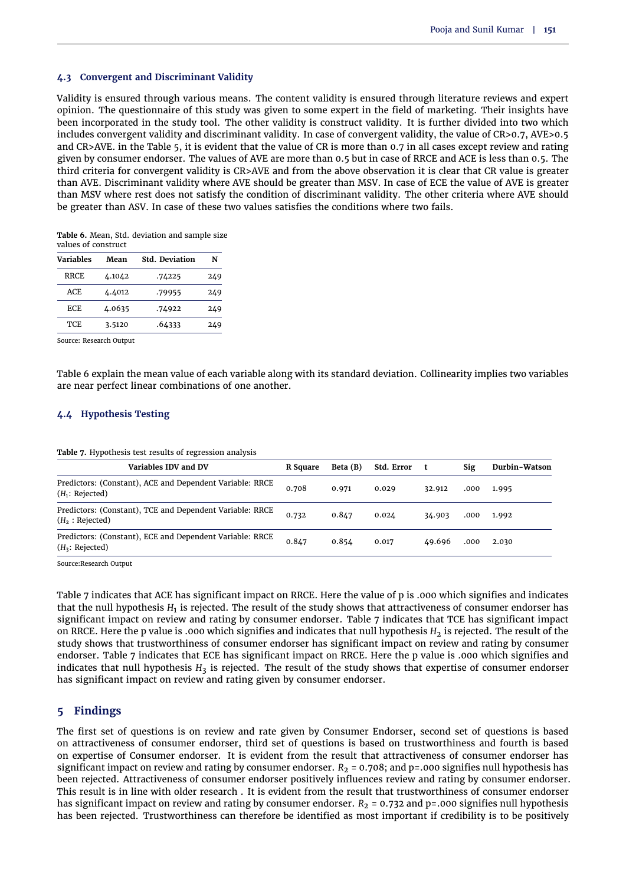# **4.3 Convergent and Discriminant Validity**

Validity is ensured through various means. The content validity is ensured through literature reviews and expert opinion. The questionnaire of this study was given to some expert in the field of marketing. Their insights have been incorporated in the study tool. The other validity is construct validity. It is further divided into two which includes convergent validity and discriminant validity. In case of convergent validity, the value of CR>0.7, AVE>0.5 and CR>AVE. in the [Table 5,](#page-6-0) it is evident that the value of CR is more than 0.7 in all cases except review and rating given by consumer endorser. The values of AVE are more than 0.5 but in case of RRCE and ACE is less than 0.5. The third criteria for convergent validity is CR>AVE and from the above observation it is clear that CR value is greater than AVE. Discriminant validity where AVE should be greater than MSV. In case of ECE the value of AVE is greater than MSV where rest does not satisfy the condition of discriminant validity. The other criteria where AVE should be greater than ASV. In case of these two values satisfies the conditions where two fails.

<span id="page-7-0"></span>**Table 6.** Mean, Std. deviation and sample size values of construct

| <b>Variables</b> | Mean   | <b>Std. Deviation</b> | N   |
|------------------|--------|-----------------------|-----|
| RRCE             | 4.1042 | .74225                | 249 |
| ACE              | 4.4012 | .79955                | 249 |
| ECE              | 4.0635 | .74922                | 249 |
| <b>TCE</b>       | 3.5120 | .64333                | 249 |
|                  |        |                       |     |

Source: Research Output

[Table 6](#page-7-0) explain the mean value of each variable along with its standard deviation. Collinearity implies two variables are near perfect linear combinations of one another.

# **4.4 Hypothesis Testing**

<span id="page-7-1"></span>

|  | Table 7. Hypothesis test results of regression analysis |  |
|--|---------------------------------------------------------|--|
|  |                                                         |  |

| Variables IDV and DV                                                          | R Square | Beta (B) | Std. Error | t      | Sig  | Durbin-Watson |
|-------------------------------------------------------------------------------|----------|----------|------------|--------|------|---------------|
| Predictors: (Constant), ACE and Dependent Variable: RRCE<br>$(H_1: Rejected)$ | 0.708    | 0.971    | 0.029      | 32.912 | .000 | 1.995         |
| Predictors: (Constant), TCE and Dependent Variable: RRCE<br>$(H_2: Rejected)$ | 0.732    | 0.847    | 0.024      | 34.903 | .000 | 1.992         |
| Predictors: (Constant), ECE and Dependent Variable: RRCE<br>$(H_3: Rejected)$ | 0.847    | 0.854    | 0.017      | 49.696 | .000 | 2.030         |

Source:Research Output

[Table 7](#page-7-1) indicates that ACE has significant impact on RRCE. Here the value of p is .000 which signifies and indicates that the null hypothesis  $H_1$  is rejected. The result of the study shows that attractiveness of consumer endorser has significant impact on review and rating by consumer endorser. [Table 7](#page-7-1) indicates that TCE has significant impact on RRCE. Here the p value is .000 which signifies and indicates that null hypothesis *H*<sub>2</sub> is rejected. The result of the study shows that trustworthiness of consumer endorser has significant impact on review and rating by consumer endorser. [Table 7](#page-7-1) indicates that ECE has significant impact on RRCE. Here the p value is .000 which signifies and indicates that null hypothesis  $H_3$  is rejected. The result of the study shows that expertise of consumer endorser has significant impact on review and rating given by consumer endorser.

# **5 Findings**

The first set of questions is on review and rate given by Consumer Endorser, second set of questions is based on attractiveness of consumer endorser, third set of questions is based on trustworthiness and fourth is based on expertise of Consumer endorser. It is evident from the result that attractiveness of consumer endorser has significant impact on review and rating by consumer endorser.  $R_2 = 0.708$ ; and  $p = .000$  signifies null hypothesis has been rejected. Attractiveness of consumer endorser positively influences review and rating by consumer endorser. This result is in line with older research . It is evident from the result that trustworthiness of consumer endorser has significant impact on review and rating by consumer endorser.  $R_2 = 0.732$  and p=.000 signifies null hypothesis has been rejected. Trustworthiness can therefore be identified as most important if credibility is to be positively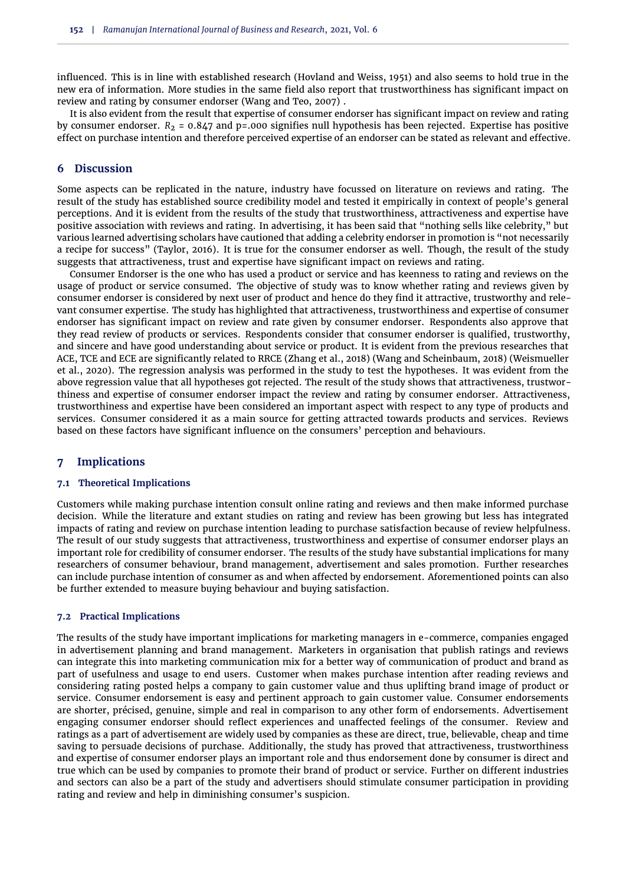influenced. This is in line with established research [\(Hovland and Weiss,](#page-10-18) [1951\)](#page-10-18) and also seems to hold true in the new era of information. More studies in the same field also report that trustworthiness has significant impact on review and rating by consumer endorser [\(Wang and Teo,](#page-10-23) [2007\)](#page-10-23) .

It is also evident from the result that expertise of consumer endorser has significant impact on review and rating by consumer endorser.  $R_2 = 0.847$  and p=.000 signifies null hypothesis has been rejected. Expertise has positive effect on purchase intention and therefore perceived expertise of an endorser can be stated as relevant and effective.

# **6 Discussion**

Some aspects can be replicated in the nature, industry have focussed on literature on reviews and rating. The result of the study has established source credibility model and tested it empirically in context of people's general perceptions. And it is evident from the results of the study that trustworthiness, attractiveness and expertise have positive association with reviews and rating. In advertising, it has been said that "nothing sells like celebrity," but various learned advertising scholars have cautioned that adding a celebrity endorser in promotion is "not necessarily a recipe for success" [\(Taylor,](#page-10-31) [2016\)](#page-10-31). It is true for the consumer endorser as well. Though, the result of the study suggests that attractiveness, trust and expertise have significant impact on reviews and rating.

Consumer Endorser is the one who has used a product or service and has keenness to rating and reviews on the usage of product or service consumed. The objective of study was to know whether rating and reviews given by consumer endorser is considered by next user of product and hence do they find it attractive, trustworthy and relevant consumer expertise. The study has highlighted that attractiveness, trustworthiness and expertise of consumer endorser has significant impact on review and rate given by consumer endorser. Respondents also approve that they read review of products or services. Respondents consider that consumer endorser is qualified, trustworthy, and sincere and have good understanding about service or product. It is evident from the previous researches that ACE, TCE and ECE are significantly related to RRCE [\(Zhang et al.,](#page-11-6) [2018\)](#page-11-6) [\(Wang and Scheinbaum,](#page-10-32) [2018\)](#page-10-32) [\(Weismueller](#page-11-7) [et al.,](#page-11-7) [2020\)](#page-11-7). The regression analysis was performed in the study to test the hypotheses. It was evident from the above regression value that all hypotheses got rejected. The result of the study shows that attractiveness, trustworthiness and expertise of consumer endorser impact the review and rating by consumer endorser. Attractiveness, trustworthiness and expertise have been considered an important aspect with respect to any type of products and services. Consumer considered it as a main source for getting attracted towards products and services. Reviews based on these factors have significant influence on the consumers' perception and behaviours.

# **7 Implications**

#### **7.1 Theoretical Implications**

Customers while making purchase intention consult online rating and reviews and then make informed purchase decision. While the literature and extant studies on rating and review has been growing but less has integrated impacts of rating and review on purchase intention leading to purchase satisfaction because of review helpfulness. The result of our study suggests that attractiveness, trustworthiness and expertise of consumer endorser plays an important role for credibility of consumer endorser. The results of the study have substantial implications for many researchers of consumer behaviour, brand management, advertisement and sales promotion. Further researches can include purchase intention of consumer as and when affected by endorsement. Aforementioned points can also be further extended to measure buying behaviour and buying satisfaction.

#### **7.2 Practical Implications**

The results of the study have important implications for marketing managers in e-commerce, companies engaged in advertisement planning and brand management. Marketers in organisation that publish ratings and reviews can integrate this into marketing communication mix for a better way of communication of product and brand as part of usefulness and usage to end users. Customer when makes purchase intention after reading reviews and considering rating posted helps a company to gain customer value and thus uplifting brand image of product or service. Consumer endorsement is easy and pertinent approach to gain customer value. Consumer endorsements are shorter, précised, genuine, simple and real in comparison to any other form of endorsements. Advertisement engaging consumer endorser should reflect experiences and unaffected feelings of the consumer. Review and ratings as a part of advertisement are widely used by companies as these are direct, true, believable, cheap and time saving to persuade decisions of purchase. Additionally, the study has proved that attractiveness, trustworthiness and expertise of consumer endorser plays an important role and thus endorsement done by consumer is direct and true which can be used by companies to promote their brand of product or service. Further on different industries and sectors can also be a part of the study and advertisers should stimulate consumer participation in providing rating and review and help in diminishing consumer's suspicion.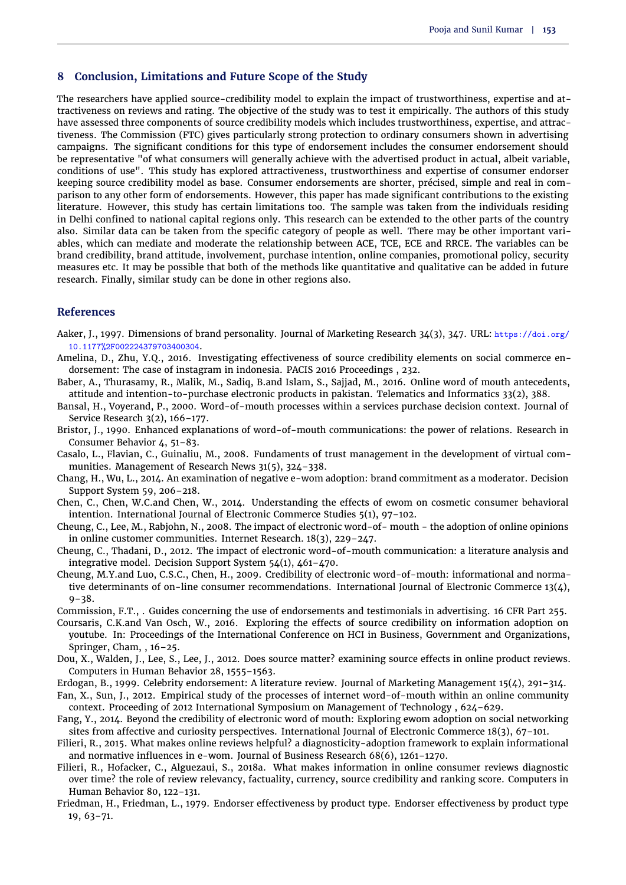# **8 Conclusion, Limitations and Future Scope of the Study**

The researchers have applied source-credibility model to explain the impact of trustworthiness, expertise and attractiveness on reviews and rating. The objective of the study was to test it empirically. The authors of this study have assessed three components of source credibility models which includes trustworthiness, expertise, and attractiveness. The [Commission](#page-9-5) (FTC) gives particularly strong protection to ordinary consumers shown in advertising campaigns. The significant conditions for this type of endorsement includes the consumer endorsement should be representative "of what consumers will generally achieve with the advertised product in actual, albeit variable, conditions of use". This study has explored attractiveness, trustworthiness and expertise of consumer endorser keeping source credibility model as base. Consumer endorsements are shorter, précised, simple and real in comparison to any other form of endorsements. However, this paper has made significant contributions to the existing literature. However, this study has certain limitations too. The sample was taken from the individuals residing in Delhi confined to national capital regions only. This research can be extended to the other parts of the country also. Similar data can be taken from the specific category of people as well. There may be other important variables, which can mediate and moderate the relationship between ACE, TCE, ECE and RRCE. The variables can be brand credibility, brand attitude, involvement, purchase intention, online companies, promotional policy, security measures etc. It may be possible that both of the methods like quantitative and qualitative can be added in future research. Finally, similar study can be done in other regions also.

## **References**

- <span id="page-9-6"></span>Aaker, J., 1997. Dimensions of brand personality. Journal of Marketing Research 34(3), 347. URL: https://doi.org/ 10.1177%2F002224379703400304.
- <span id="page-9-14"></span>Amelina, D., Zhu, Y.Q., 2016. Investigating effectiveness of source credibility elements on social commerce endorsement: The case of instagram in indonesia. PACIS 2016 Proceedings , 232.
- <span id="page-9-16"></span>Baber, A., Thurasamy, R., Malik, M., Sadiq, B.and Islam, S., Sajjad, M., 2016. Online word of mouth antecedents, attitude and intention-to-purchase electronic products in pakistan. Telematics and Informatics 33(2), 388.
- <span id="page-9-17"></span>Bansal, H., Voyerand, P., 2000. Word-of-mouth processes within a services purchase decision context. Journal of Service Research 3(2), 166–177.
- <span id="page-9-12"></span>Bristor, J., 1990. Enhanced explanations of word-of-mouth communications: the power of relations. Research in Consumer Behavior 4, 51–83.
- <span id="page-9-15"></span>Casalo, L., Flavian, C., Guinaliu, M., 2008. Fundaments of trust management in the development of virtual communities. Management of Research News 31(5), 324–338.
- <span id="page-9-8"></span>Chang, H., Wu, L., 2014. An examination of negative e-wom adoption: brand commitment as a moderator. Decision Support System 59, 206–218.
- <span id="page-9-1"></span>Chen, C., Chen, W.C.and Chen, W., 2014. Understanding the effects of ewom on cosmetic consumer behavioral intention. International Journal of Electronic Commerce Studies 5(1), 97–102.
- <span id="page-9-18"></span>Cheung, C., Lee, M., Rabjohn, N., 2008. The impact of electronic word-of- mouth - the adoption of online opinions in online customer communities. Internet Research. 18(3), 229–247.
- <span id="page-9-4"></span>Cheung, C., Thadani, D., 2012. The impact of electronic word-of-mouth communication: a literature analysis and integrative model. Decision Support System 54(1), 461–470.
- <span id="page-9-9"></span>Cheung, M.Y.and Luo, C.S.C., Chen, H., 2009. Credibility of electronic word-of-mouth: informational and normative determinants of on-line consumer recommendations. International Journal of Electronic Commerce 13(4),  $9 - 38.$

<span id="page-9-5"></span>Commission, F.T., . Guides concerning the use of endorsements and testimonials in advertising. 16 CFR Part 255.

- <span id="page-9-7"></span>Coursaris, C.K.and Van Osch, W., 2016. Exploring the effects of source credibility on information adoption on youtube. In: Proceedings of the International Conference on HCI in Business, Government and Organizations, Springer, Cham, , 16–25.
- <span id="page-9-19"></span>Dou, X., Walden, J., Lee, S., Lee, J., 2012. Does source matter? examining source effects in online product reviews. Computers in Human Behavior 28, 1555–1563.
- <span id="page-9-13"></span>Erdogan, B., 1999. Celebrity endorsement: A literature review. Journal of Marketing Management 15(4), 291–314.
- <span id="page-9-11"></span>Fan, X., Sun, J., 2012. Empirical study of the processes of internet word-of-mouth within an online community context. Proceeding of 2012 International Symposium on Management of Technology , 624–629.
- <span id="page-9-10"></span>Fang, Y., 2014. Beyond the credibility of electronic word of mouth: Exploring ewom adoption on social networking sites from affective and curiosity perspectives. International Journal of Electronic Commerce 18(3), 67–101.
- <span id="page-9-2"></span>Filieri, R., 2015. What makes online reviews helpful? a diagnosticity-adoption framework to explain informational and normative influences in e-wom. Journal of Business Research 68(6), 1261–1270.
- <span id="page-9-3"></span>Filieri, R., Hofacker, C., Alguezaui, S., 2018a. What makes information in online consumer reviews diagnostic over time? the role of review relevancy, factuality, currency, source credibility and ranking score. Computers in Human Behavior 80, 122–131.
- <span id="page-9-0"></span>Friedman, H., Friedman, L., 1979. Endorser effectiveness by product type. Endorser effectiveness by product type 19, 63–71.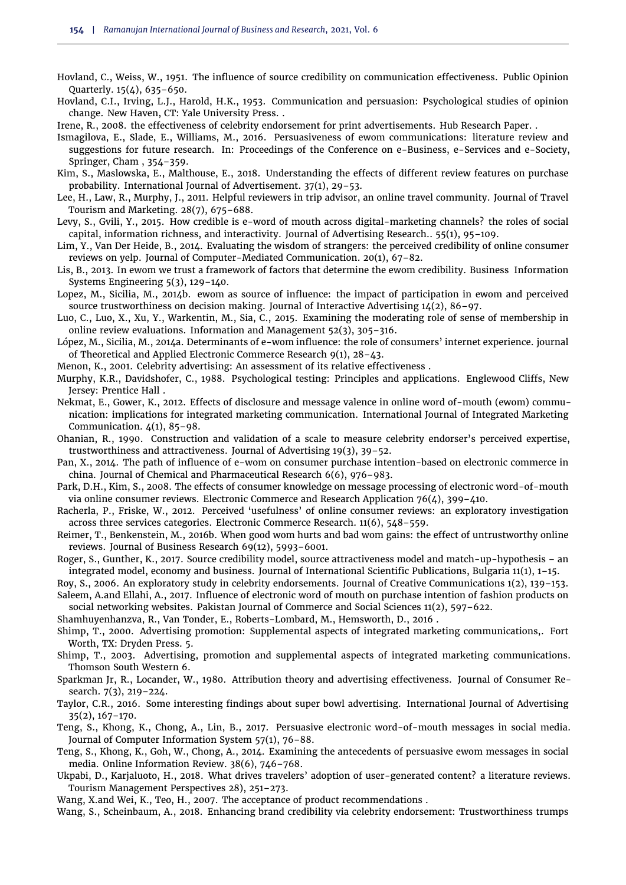- <span id="page-10-18"></span>Hovland, C., Weiss, W., 1951. The influence of source credibility on communication effectiveness. Public Opinion Quarterly. 15(4), 635–650.
- <span id="page-10-17"></span>Hovland, C.I., Irving, L.J., Harold, H.K., 1953. Communication and persuasion: Psychological studies of opinion change. New Haven, CT: Yale University Press. .
- <span id="page-10-9"></span>Irene, R., 2008. the effectiveness of celebrity endorsement for print advertisements. Hub Research Paper. .
- <span id="page-10-5"></span>Ismagilova, E., Slade, E., Williams, M., 2016. Persuasiveness of ewom communications: literature review and suggestions for future research. In: Proceedings of the Conference on e-Business, e-Services and e-Society, Springer, Cham , 354–359.
- <span id="page-10-24"></span>Kim, S., Maslowska, E., Malthouse, E., 2018. Understanding the effects of different review features on purchase probability. International Journal of Advertisement. 37(1), 29–53.
- <span id="page-10-20"></span>Lee, H., Law, R., Murphy, J., 2011. Helpful reviewers in trip advisor, an online travel community. Journal of Travel Tourism and Marketing. 28(7), 675–688.
- <span id="page-10-15"></span>Levy, S., Gvili, Y., 2015. How credible is e-word of mouth across digital-marketing channels? the roles of social capital, information richness, and interactivity. Journal of Advertising Research.. 55(1), 95–109.
- <span id="page-10-16"></span>Lim, Y., Van Der Heide, B., 2014. Evaluating the wisdom of strangers: the perceived credibility of online consumer reviews on yelp. Journal of Computer-Mediated Communication. 20(1), 67–82.
- <span id="page-10-12"></span>Lis, B., 2013. In ewom we trust a framework of factors that determine the ewom credibility. Business Information Systems Engineering 5(3), 129–140.
- <span id="page-10-3"></span>Lopez, M., Sicilia, M., 2014b. ewom as source of influence: the impact of participation in ewom and perceived source trustworthiness on decision making. Journal of Interactive Advertising  $14(2)$ ,  $86-97$ .
- <span id="page-10-2"></span>Luo, C., Luo, X., Xu, Y., Warkentin, M., Sia, C., 2015. Examining the moderating role of sense of membership in online review evaluations. Information and Management 52(3), 305–316.
- <span id="page-10-4"></span>López, M., Sicilia, M., 2014a. Determinants of e-wom influence: the role of consumers' internet experience. journal of Theoretical and Applied Electronic Commerce Research 9(1), 28–43.
- <span id="page-10-7"></span>Menon, K., 2001. Celebrity advertising: An assessment of its relative effectiveness .
- <span id="page-10-30"></span>Murphy, K.R., Davidshofer, C., 1988. Psychological testing: Principles and applications. Englewood Cliffs, New Jersey: Prentice Hall .
- <span id="page-10-10"></span>Nekmat, E., Gower, K., 2012. Effects of disclosure and message valence in online word of-mouth (ewom) communication: implications for integrated marketing communication. International Journal of Integrated Marketing Communication.  $4(1)$ , 85-98.
- <span id="page-10-1"></span>Ohanian, R., 1990. Construction and validation of a scale to measure celebrity endorser's perceived expertise, trustworthiness and attractiveness. Journal of Advertising 19(3), 39–52.
- <span id="page-10-14"></span>Pan, X., 2014. The path of influence of e-wom on consumer purchase intention-based on electronic commerce in china. Journal of Chemical and Pharmaceutical Research 6(6), 976–983.
- <span id="page-10-21"></span>Park, D.H., Kim, S., 2008. The effects of consumer knowledge on message processing of electronic word-of-mouth via online consumer reviews. Electronic Commerce and Research Application 76(4), 399–410.
- <span id="page-10-19"></span>Racherla, P., Friske, W., 2012. Perceived 'usefulness' of online consumer reviews: an exploratory investigation across three services categories. Electronic Commerce Research. 11(6), 548–559.
- <span id="page-10-27"></span>Reimer, T., Benkenstein, M., 2016b. When good wom hurts and bad wom gains: the effect of untrustworthy online reviews. Journal of Business Research 69(12), 5993–6001.
- <span id="page-10-25"></span>Roger, S., Gunther, K., 2017. Source credibility model, source attractiveness model and match-up-hypothesis – an integrated model, economy and business. Journal of International Scientific Publications, Bulgaria 11(1), 1–15.
- <span id="page-10-29"></span>Roy, S., 2006. An exploratory study in celebrity endorsements. Journal of Creative Communications 1(2), 139–153.
- <span id="page-10-22"></span>Saleem, A.and Ellahi, A., 2017. Influence of electronic word of mouth on purchase intention of fashion products on social networking websites. Pakistan Journal of Commerce and Social Sciences 11(2), 597–622.
- <span id="page-10-28"></span>Shamhuyenhanzva, R., Van Tonder, E., Roberts-Lombard, M., Hemsworth, D., 2016 .
- <span id="page-10-0"></span>Shimp, T., 2000. Advertising promotion: Supplemental aspects of integrated marketing communications,. Fort Worth, TX: Dryden Press. 5.
- <span id="page-10-8"></span>Shimp, T., 2003. Advertising, promotion and supplemental aspects of integrated marketing communications. Thomson South Western 6.
- <span id="page-10-26"></span>Sparkman Jr, R., Locander, W., 1980. Attribution theory and advertising effectiveness. Journal of Consumer Research. 7(3), 219–224.
- <span id="page-10-31"></span>Taylor, C.R., 2016. Some interesting findings about super bowl advertising. International Journal of Advertising 35(2), 167–170.
- <span id="page-10-13"></span>Teng, S., Khong, K., Chong, A., Lin, B., 2017. Persuasive electronic word-of-mouth messages in social media. Journal of Computer Information System 57(1), 76–88.
- <span id="page-10-11"></span>Teng, S., Khong, K., Goh, W., Chong, A., 2014. Examining the antecedents of persuasive ewom messages in social media. Online Information Review. 38(6), 746–768.
- <span id="page-10-6"></span>Ukpabi, D., Karjaluoto, H., 2018. What drives travelers' adoption of user-generated content? a literature reviews. Tourism Management Perspectives 28), 251–273.
- <span id="page-10-23"></span>Wang, X.and Wei, K., Teo, H., 2007. The acceptance of product recommendations .
- <span id="page-10-32"></span>Wang, S., Scheinbaum, A., 2018. Enhancing brand credibility via celebrity endorsement: Trustworthiness trumps